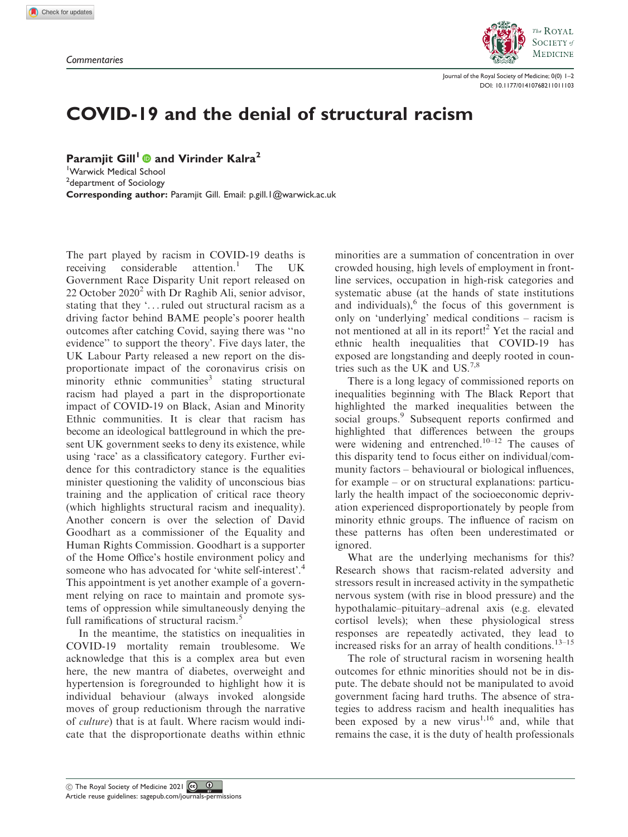

Journal of the Royal Society of Medicine; 0(0) 1–2 [DOI: 10.1177/01410768211011103](https://doi.org/10.1177/01410768211011103)

## COVID-19 and the denial of structural racism

Paramiit Gill<sup>1</sup> and Virinder Kalra<sup>2</sup>

1 Warwick Medical School <sup>2</sup>department of Sociology Corresponding author: Paramjit Gill. Email: p.gill.1@warwick.ac.uk

The part played by racism in COVID-19 deaths is receiving considerable attention.<sup>1</sup> The UK Government Race Disparity Unit report released on 22 October  $2020<sup>2</sup>$  with Dr Raghib Ali, senior advisor, stating that they '...ruled out structural racism as a driving factor behind BAME people's poorer health outcomes after catching Covid, saying there was ''no evidence'' to support the theory'. Five days later, the UK Labour Party released a new report on the disproportionate impact of the coronavirus crisis on minority ethnic communities<sup>3</sup> stating structural racism had played a part in the disproportionate impact of COVID-19 on Black, Asian and Minority Ethnic communities. It is clear that racism has become an ideological battleground in which the present UK government seeks to deny its existence, while using 'race' as a classificatory category. Further evidence for this contradictory stance is the equalities minister questioning the validity of unconscious bias training and the application of critical race theory (which highlights structural racism and inequality). Another concern is over the selection of David Goodhart as a commissioner of the Equality and Human Rights Commission. Goodhart is a supporter of the Home Office's hostile environment policy and someone who has advocated for 'white self-interest'.<sup>4</sup> This appointment is yet another example of a government relying on race to maintain and promote systems of oppression while simultaneously denying the full ramifications of structural racism.<sup>5</sup>

In the meantime, the statistics on inequalities in COVID-19 mortality remain troublesome. We acknowledge that this is a complex area but even here, the new mantra of diabetes, overweight and hypertension is foregrounded to highlight how it is individual behaviour (always invoked alongside moves of group reductionism through the narrative of culture) that is at fault. Where racism would indicate that the disproportionate deaths within ethnic minorities are a summation of concentration in over crowded housing, high levels of employment in frontline services, occupation in high-risk categories and systematic abuse (at the hands of state institutions and individuals), $<sup>6</sup>$  the focus of this government is</sup> only on 'underlying' medical conditions – racism is not mentioned at all in its report!<sup>2</sup> Yet the racial and ethnic health inequalities that COVID-19 has exposed are longstanding and deeply rooted in countries such as the UK and US.<sup>7,8</sup>

There is a long legacy of commissioned reports on inequalities beginning with The Black Report that highlighted the marked inequalities between the social groups.<sup>9</sup> Subsequent reports confirmed and highlighted that differences between the groups were widening and entrenched.<sup>10–12</sup> The causes of this disparity tend to focus either on individual/community factors – behavioural or biological influences, for example – or on structural explanations: particularly the health impact of the socioeconomic deprivation experienced disproportionately by people from minority ethnic groups. The influence of racism on these patterns has often been underestimated or ignored.

What are the underlying mechanisms for this? Research shows that racism-related adversity and stressors result in increased activity in the sympathetic nervous system (with rise in blood pressure) and the hypothalamic–pituitary–adrenal axis (e.g. elevated cortisol levels); when these physiological stress responses are repeatedly activated, they lead to increased risks for an array of health conditions. $13-15$ 

The role of structural racism in worsening health outcomes for ethnic minorities should not be in dispute. The debate should not be manipulated to avoid government facing hard truths. The absence of strategies to address racism and health inequalities has been exposed by a new virus<sup>1,16</sup> and, while that remains the case, it is the duty of health professionals